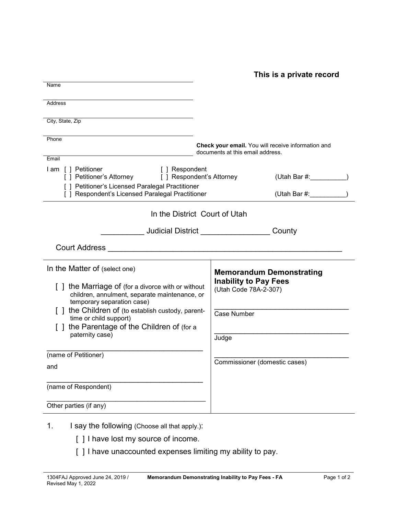**This is a private record**

| Name                                                                                                                                                                                                                                                                                                                                             |                                                                                                                                                   |
|--------------------------------------------------------------------------------------------------------------------------------------------------------------------------------------------------------------------------------------------------------------------------------------------------------------------------------------------------|---------------------------------------------------------------------------------------------------------------------------------------------------|
| Address                                                                                                                                                                                                                                                                                                                                          |                                                                                                                                                   |
| City, State, Zip                                                                                                                                                                                                                                                                                                                                 |                                                                                                                                                   |
| Phone                                                                                                                                                                                                                                                                                                                                            | Check your email. You will receive information and<br>documents at this email address.                                                            |
| Email<br>I am [] Petitioner<br>[ ] Respondent<br>[ ] Petitioner's Attorney<br>[ ] Respondent's Attorney<br>[ ] Petitioner's Licensed Paralegal Practitioner<br>[ ] Respondent's Licensed Paralegal Practitioner                                                                                                                                  | (Utah Bar #:                                                                                                                                      |
| In the District Court of Utah                                                                                                                                                                                                                                                                                                                    |                                                                                                                                                   |
|                                                                                                                                                                                                                                                                                                                                                  |                                                                                                                                                   |
| <b>Court Address</b><br><u> 2000 - 2000 - 2000 - 2000 - 2000 - 2000 - 2000 - 2000 - 2000 - 2000 - 2000 - 2000 - 2000 - 2000 - 2000 - 200</u>                                                                                                                                                                                                     |                                                                                                                                                   |
| In the Matter of (select one)<br>[] the Marriage of (for a divorce with or without<br>children, annulment, separate maintenance, or<br>temporary separation case)<br>[] the Children of (to establish custody, parent-<br>time or child support)<br>[] the Parentage of the Children of (for a<br>paternity case)<br>(name of Petitioner)<br>and | <b>Memorandum Demonstrating</b><br><b>Inability to Pay Fees</b><br>(Utah Code 78A-2-307)<br>Case Number<br>Judge<br>Commissioner (domestic cases) |
| (name of Respondent)<br>Other parties (if any)                                                                                                                                                                                                                                                                                                   |                                                                                                                                                   |
| I say the following (Choose all that apply.):<br>1.                                                                                                                                                                                                                                                                                              |                                                                                                                                                   |

- [] I have lost my source of income.
	- [ ] I have unaccounted expenses limiting my ability to pay.